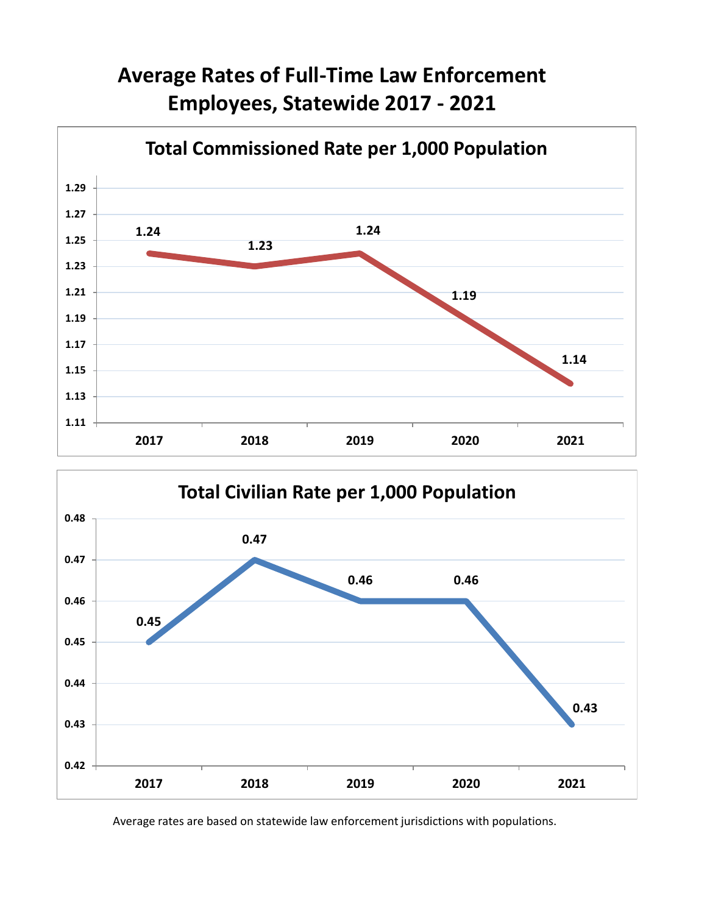## **Average Rates of Full-Time Law Enforcement Employees, Statewide 2017 - 2021**





Average rates are based on statewide law enforcement jurisdictions with populations.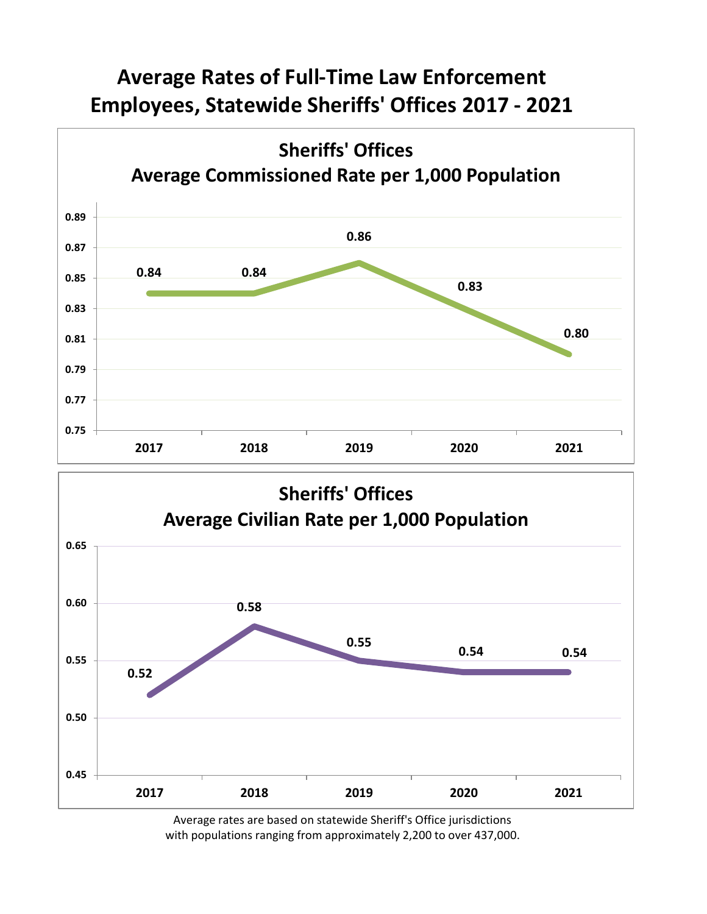## **Average Rates of Full-Time Law Enforcement Employees, Statewide Sheriffs' Offices 2017 - 2021**





Average rates are based on statewide Sheriff's Office jurisdictions with populations ranging from approximately 2,200 to over 437,000.